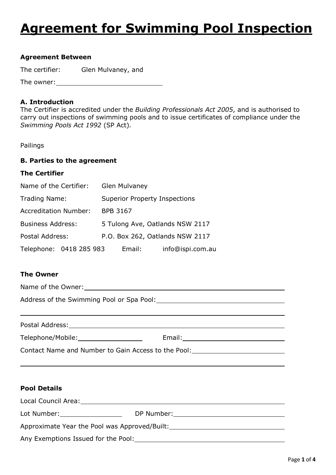# **Agreement for Swimming Pool Inspection**

#### **Agreement Between**

The certifier: Glen Mulvaney, and

The owner:

#### **A. Introduction**

The Certifier is accredited under the *Building Professionals Act 2005*, and is authorised to carry out inspections of swimming pools and to issue certificates of compliance under the *Swimming Pools Act 1992* (SP Act)*.* 

Pailings

#### **B. Parties to the agreement**

# **The Certifier**

| Name of the Certifier:       |  |                                      | <b>Glen Mulvaney</b> |                                 |                  |
|------------------------------|--|--------------------------------------|----------------------|---------------------------------|------------------|
| Trading Name:                |  | <b>Superior Property Inspections</b> |                      |                                 |                  |
| <b>Accreditation Number:</b> |  | <b>BPB 3167</b>                      |                      |                                 |                  |
| <b>Business Address:</b>     |  |                                      |                      | 5 Tulong Ave, Oatlands NSW 2117 |                  |
| Postal Address:              |  |                                      |                      | P.O. Box 262, Oatlands NSW 2117 |                  |
| Telephone: 0418 285 983      |  |                                      | Email:               |                                 | info@ispi.com.au |

# **The Owner**

 $\overline{a}$ 

 $\overline{a}$ 

Name of the Owner: Address of the Swimming Pool or Spa Pool:

| Postal Address:                                     |        |  |
|-----------------------------------------------------|--------|--|
| Telephone/Mobile:                                   | Email: |  |
| Contact Name and Number to Gain Access to the Pool: |        |  |

#### **Pool Details**

| Local Council Area:                           |            |  |
|-----------------------------------------------|------------|--|
| Lot Number:                                   | DP Number: |  |
| Approximate Year the Pool was Approved/Built: |            |  |

Any Exemptions Issued for the Pool: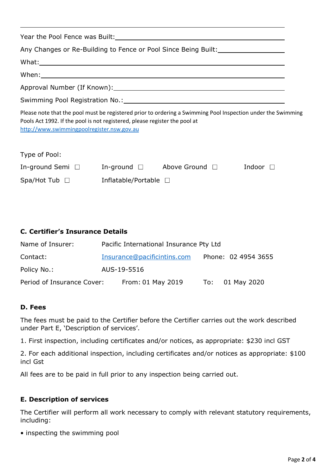|                                                                                                                          |                       | Any Changes or Re-Building to Fence or Pool Since Being Built: _________________                                                                                                                                                     |                                                                                                              |
|--------------------------------------------------------------------------------------------------------------------------|-----------------------|--------------------------------------------------------------------------------------------------------------------------------------------------------------------------------------------------------------------------------------|--------------------------------------------------------------------------------------------------------------|
|                                                                                                                          |                       |                                                                                                                                                                                                                                      |                                                                                                              |
|                                                                                                                          |                       | When: <u>with the contract of the contract of the contract of the contract of the contract of the contract of the contract of the contract of the contract of the contract of the contract of the contract of the contract of th</u> |                                                                                                              |
|                                                                                                                          |                       |                                                                                                                                                                                                                                      |                                                                                                              |
|                                                                                                                          |                       |                                                                                                                                                                                                                                      |                                                                                                              |
| Pools Act 1992. If the pool is not registered, please register the pool at<br>http://www.swimmingpoolregister.nsw.gov.au |                       |                                                                                                                                                                                                                                      | Please note that the pool must be registered prior to ordering a Swimming Pool Inspection under the Swimming |
| Type of Pool:                                                                                                            |                       |                                                                                                                                                                                                                                      |                                                                                                              |
|                                                                                                                          |                       | In-ground Semi □ In-ground □ Above Ground □                                                                                                                                                                                          | Indoor $\Box$                                                                                                |
| $Spa/Hot$ Tub $\square$                                                                                                  | Inflatable/Portable □ |                                                                                                                                                                                                                                      |                                                                                                              |

# **C. Certifier's Insurance Details**

| Name of Insurer:           | Pacific International Insurance Pty Ltd |  |                     |
|----------------------------|-----------------------------------------|--|---------------------|
| Contact:                   | Insurance@pacificintins.com             |  | Phone: 02 4954 3655 |
| Policy No.:                | AUS-19-5516                             |  |                     |
| Period of Insurance Cover: | From: 01 May 2019                       |  | To: 01 May 2020     |

#### **D. Fees**

The fees must be paid to the Certifier before the Certifier carries out the work described under Part E, 'Description of services'.

1. First inspection, including certificates and/or notices, as appropriate: \$230 incl GST

2. For each additional inspection, including certificates and/or notices as appropriate: \$100 incl Gst

All fees are to be paid in full prior to any inspection being carried out.

#### **E. Description of services**

The Certifier will perform all work necessary to comply with relevant statutory requirements, including:

• inspecting the swimming pool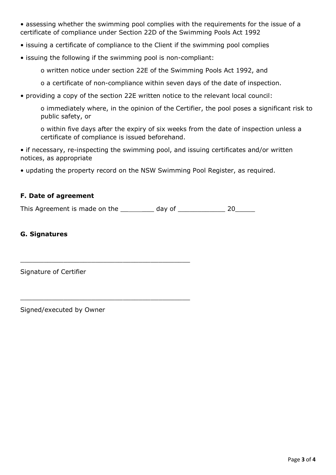• assessing whether the swimming pool complies with the requirements for the issue of a certificate of compliance under Section 22D of the Swimming Pools Act 1992

- issuing a certificate of compliance to the Client if the swimming pool complies
- issuing the following if the swimming pool is non-compliant:

o written notice under section 22E of the Swimming Pools Act 1992, and

o a certificate of non-compliance within seven days of the date of inspection.

• providing a copy of the section 22E written notice to the relevant local council:

o immediately where, in the opinion of the Certifier, the pool poses a significant risk to public safety, or

o within five days after the expiry of six weeks from the date of inspection unless a certificate of compliance is issued beforehand.

• if necessary, re-inspecting the swimming pool, and issuing certificates and/or written notices, as appropriate

• updating the property record on the NSW Swimming Pool Register, as required.

## **F. Date of agreement**

This Agreement is made on the  $\_\_\_\_\_$  day of  $\_\_\_\_\_$  20  $\_\_\_\_$ 

\_\_\_\_\_\_\_\_\_\_\_\_\_\_\_\_\_\_\_\_\_\_\_\_\_\_\_\_\_\_\_\_\_\_\_\_\_\_\_\_\_\_\_

\_\_\_\_\_\_\_\_\_\_\_\_\_\_\_\_\_\_\_\_\_\_\_\_\_\_\_\_\_\_\_\_\_\_\_\_\_\_\_\_\_\_\_

## **G. Signatures**

Signature of Certifier

Signed/executed by Owner